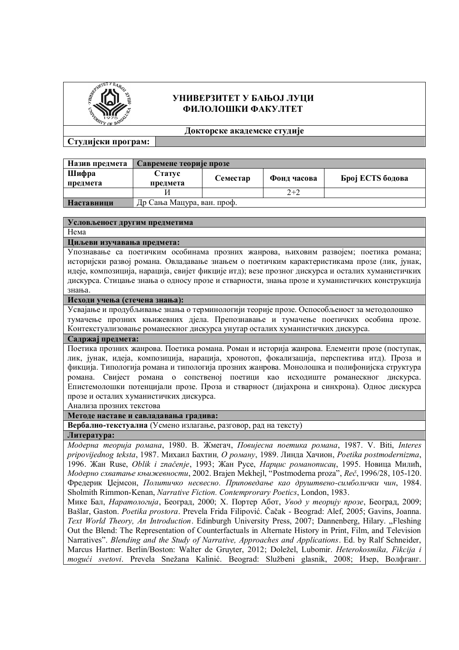

# **УНИВЕРЗИТЕТ У БАЊОЈ ЛУЦИ ФИЛОЛОШКИ ФАКУЛТЕТ**

**Докторске академске студије**

# **Студијски програм:**

| Назив предмета    | Савремене теорије прозе    |          |             |                  |
|-------------------|----------------------------|----------|-------------|------------------|
| Шифра             | Статус                     | Семестар | Фонд часова | Број ECTS бодова |
| предмета          | предмета                   |          |             |                  |
|                   |                            |          | $2+2$       |                  |
| <b>Наставници</b> | Др Сања Мацура, ван. проф. |          |             |                  |

#### **Условљеност другим предметима**

Нема

**Циљеви изучавања предмета:**

Упознавање са поетичким особинама прозних жанрова, њиховим развојем; поетика романа; историјски развој романа. Овладавање знањем о поетичким карактеристикама прозе (лик, јунак, идеје, композиција, нарација, свијет фикције итд); везе прозног дискурса и осталих хуманистичких дискурса. Стицање знања о односу прозе и стварности, знања прозе и хуманистичких конструкција знања.

## **Исходи учења (стечена знања):**

Усвајање и продубљивање знања о терминологији теорије прозе. Оспособљеност за методолошко тумачење прозних књижевних дјела. Препознавање и тумачење поетичких особина прозе. Контекстуализовање романескног дискурса унутар осталих хуманистичких дискурса.

#### **Садржај предмета:**

Поетика прозних жанрова. Поетика романа. Роман и историја жанрова. Елементи прозе (поступак, лик, јунак, идеја, композиција, нарација, хронотоп, фокализација, перспектива итд). Проза и фикција. Типологија романа и типологија прозних жанрова. Монолошка и полифонијска структура романа. Свијест романа о сопственој поетици као исходиште романескног дискурса. Епистемолошки потенцијали прозе. Проза и стварност (дијахрона и синхрона). Однос дискурса прозе и осталих хуманистичких дискурса.

Анализа прозних текстова

### **Методе наставе и савладавања градива:**

**Вербално-текстуална** (Усмено излагање, разговор, рад на тексту)

**Литература:**

*Модерна теорија романа*, 1980. В. Жмегач, *Повијесна поетика романа*, 1987. V. Biti, *Interes pripovijednog teksta*, 1987. Михаил Бахтин*, О роману*, 1989. Линда Хачион, *Poetika postmodernizma*, 1996. Жан Ruse, *Oblik i značenje*, 1993; Жан Русе, *Нарцис романописац*, 1995. Новица Милић, *Модерно схватање књижевности*, 2002. Brajen Mekhejl, "Postmoderna proza", *Reč*, 1996/28, 105-120. Фредерик Џејмсон, *Политичко несвесно. Приповедање као друштвено-симболички чин*, 1984. Sholmith Rimmon-Kenan, *Narrative Fiction. Contemprorary Poetics*, London, 1983.

Мике Бал, *Наратологија*, Београд, 2000; Х. Портер Абот, *Увод у теорију прозе*, Београд, 2009; Bašlar, Gaston. *Poetika prostora*. Prevela Frida Filipović. Čačak - Beograd: Alef, 2005; Gavins, Joanna. *Text World Theory, An Introduction*. Edinburgh University Press, 2007; Dannenberg, Hilary. "Fleshing Out the Blend: The Representation of Counterfactuals in Alternate History in Print, Film, and Television Narratives". *Blending and the Study of Narrative, Approaches and Applications*. Ed. by Ralf Schneider, Marcus Hartner. Berlin/Boston: Walter de Gruyter, 2012; Doležel, Lubomir. *Heterokosmika, Fikcija i mogući svetovi*. Prevela Snežana Kalinić. Beograd: Službeni glasnik, 2008; Изер, Волфганг.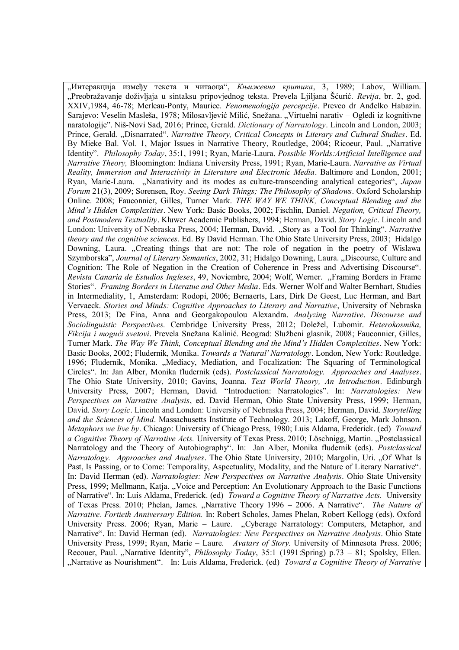"Интеракција између текста и читаоца", Књижевна критика, 3, 1989; Labov, William. "Preobražavanje doživljaja u sintaksu pripovjednog teksta. Prevela Ljiljana Šćurić. *Revija*, br. 2, god. XXIV,1984, 46-78; Merleau-Ponty, Maurice. *Fenomenologija percepcije*. Preveo dr Anđelko Habazin. Sarajevo: Veselin Masleša, 1978; Milosavljević Milić, Snežana. "Virtuelni narativ – Ogledi iz kognitivne naratologije". Niš-Novi Sad, 2016; Prince, Gerald. *Dictionary of Narratology*. Lincoln and London, 2003; Prince, Gerald. "Disnarrated". *Narrative Theory, Critical Concepts in Literary and Cultural Studies*. Ed. By Mieke Bal. Vol. 1, Major Issues in Narrative Theory, Routledge, 2004; Ricoeur, Paul. "Narrative Identity". *Philosophy Today*, 35:1, 1991; Ryan, Marie-Laura. *Possible Worlds:Artificial Intelligence and Narrative Theory,* Bloomington: Indiana University Press, 1991; Ryan, Marie-Laura. *Narrative as Virtual Reality, Immersion and Interactivity in Literature and Electronic Media*. Baltimore and London, 2001; Ryan, Marie-Laura. "Narrativity and its modes as culture-transcending analytical categories", *Japan Forum* 21(3), 2009; Sorensen, Roy. *Seeing Dark Things; The Philosophy of Shadows*. Oxford Scholarship Online. 2008; Fauconnier, Gilles, Turner Mark. *THE WAY WE THINK, Conceptual Blending and the Mind's Hidden Complexities*. New York: Basic Books, 2002; Fischlin, Daniel. *Negation, Critical Theory, and Postmodern Textuality*. Kluwer Academic Publishers, 1994; Herman, David. *Story Logic*. Lincoln and London: University of Nebraska Press, 2004; Herman, David. "Story as a Tool for Thinking". *Narrative theory and the cognitive sciences*. Ed. By David Herman. The Ohio State University Press, 2003; Hidalgo Downing, Laura. "Creating things that are not: The role of negation in the poetry of Wislawa Szymborska", *Journal of Literary Semantics*, 2002, 31; Hidalgo Downing, Laura. "Discourse, Culture and Cognition: The Role of Negation in the Creation of Coherence in Press and Advertising Discourse"*. Revista Canaria de Estudios Ingleses*, 49, Noviembre, 2004; Wolf, Werner. "Framing Borders in Frame Stories". *Framing Borders in Literatue and Other Media*. Eds. Werner Wolf and Walter Bernhart, Studies in Intermediality, 1, Amsterdam: Rodopi, 2006; Bernaerts, Lars, Dirk De Geest, Luc Herman, and Bart Vervaeck. *Stories and Minds: Cognitive Approaches to Literary and Narrative*, University of Nebraska Press, 2013; De Fina, Anna and Georgakopoulou Alexandra. *Analyzing Narrative*. *Discourse and Sociolinguistic Perspectives.* Cembridge University Press, 2012; Doležel, Lubomir. *Heterokosmika, Fikcija i mogući svetovi*. Prevela Snežana Kalinić. Beograd: Službeni glasnik, 2008; Fauconnier, Gilles, Turner Mark. *The Way We Think, Conceptual Blending and the Mind's Hidden Complexities*. New York: Basic Books, 2002; Fludernik, Monika. *Towards a 'Natural' Narratology*. London, New York: Routledge. 1996; Fludernik, Monika. "Mediacy, Mediation, and Focalization: The Squaring of Terminological Circles". In: Jan Alber, Monika fludernik (eds). *Postclassical Narratology. Approaches and Analyses*. The Ohio State University, 2010; Gavins, Joanna. *Text World Theory, An Introduction*. Edinburgh University Press, 2007; Herman, David. "Introduction: Narratologies". In: *Narratologies: New Perspectives on Narrative Analysis*, ed. David Herman, Ohio State University Press, 1999; Herman, David. *Story Logic*. Lincoln and London: University of Nebraska Press, 2004; Herman, David. *Storytelling and the Sciences of Mind*. Massachusetts Institute of Technology. 2013; Lakoff, George, Mark Johnson. *Metaphors we live by*. Chicago: University of Chicago Press, 1980; Luis Aldama, Frederick. (ed) *Toward a Cognitive Theory of Narrative Acts.* University of Texas Press. 2010; Löschnigg, Martin. "Postclassical Narratology and the Theory of Autobiography". In: Jan Alber, Monika fludernik (eds). *Postclassical Narratology. Approaches and Analyses*. The Ohio State University, 2010; Margolin, Uri. "Of What Is Past, Is Passing, or to Come: Temporality, Aspectuality, Modality, and the Nature of Literary Narrative". In: David Herman (ed). *Narratologies: New Perspectives on Narrative Analysis*. Ohio State University Press, 1999; Mellmann, Katja. "Voice and Perception: An Evolutionary Approach to the Basic Functions of Narrative". In: Luis Aldama, Frederick. (ed) *Toward a Cognitive Theory of Narrative Acts.* University of Texas Press. 2010; Phelan, James. "Narrative Theory 1996 – 2006. A Narrative". *The Nature of Narrative. Fortieth Anniversary Edition.* In: Robert Scholes, James Phelan, Robert Kellogg (eds). Oxford University Press. 2006; Ryan, Marie - Laure. "Cyberage Narratology: Computers, Metaphor, and Narrative". In: David Herman (ed). *Narratologies: New Perspectives on Narrative Analysis*. Ohio State University Press, 1999; Ryan, Marie – Laure. *Avatars of Story.* University of Minnesota Press. 2006; Recouer, Paul. "Narrative Identity", *Philosophy Today*, 35:1 (1991:Spring) p.73 – 81; Spolsky, Ellen. "Narrative as Nourishment". In: Luis Aldama, Frederick. (ed) *Toward a Cognitive Theory of Narrative*